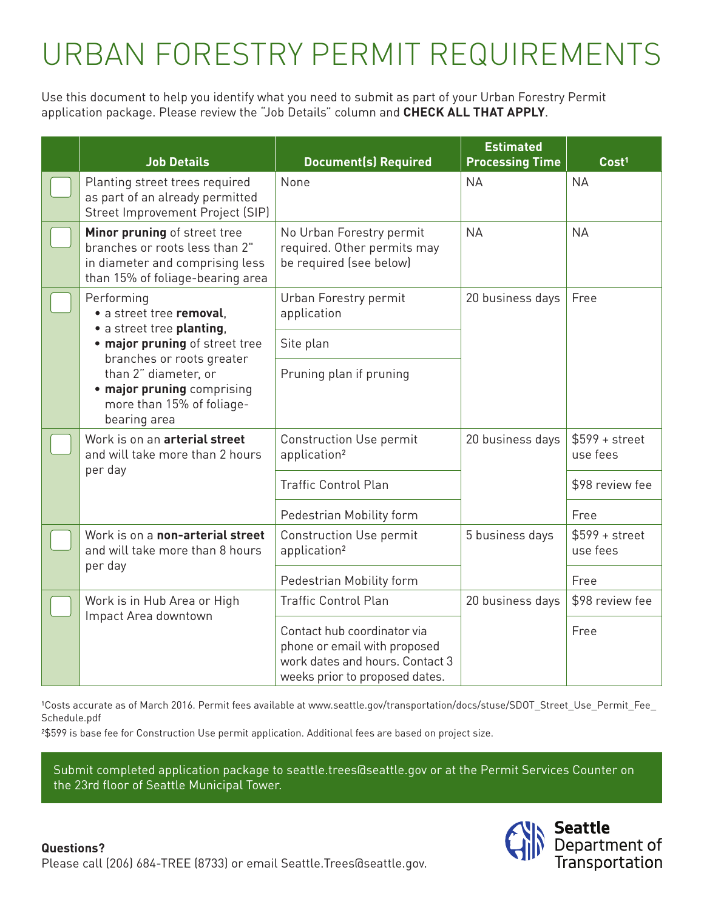## URBAN FORESTRY PERMIT REQUIREMENTS

Use this document to help you identify what you need to submit as part of your Urban Forestry Permit application package. Please review the "Job Details" column and **CHECK ALL THAT APPLY**.

|  | <b>Job Details</b>                                                                                                                                                                                                                    | <b>Document(s) Required</b>                                                                                                      | <b>Estimated</b><br><b>Processing Time</b> | Cost <sup>1</sup>           |
|--|---------------------------------------------------------------------------------------------------------------------------------------------------------------------------------------------------------------------------------------|----------------------------------------------------------------------------------------------------------------------------------|--------------------------------------------|-----------------------------|
|  | Planting street trees required<br>as part of an already permitted<br>Street Improvement Project (SIP)                                                                                                                                 | None                                                                                                                             | <b>NA</b>                                  | <b>NA</b>                   |
|  | Minor pruning of street tree<br>branches or roots less than 2"<br>in diameter and comprising less<br>than 15% of foliage-bearing area                                                                                                 | No Urban Forestry permit<br>required. Other permits may<br>be required (see below)                                               | <b>NA</b>                                  | <b>NA</b>                   |
|  | Performing<br>• a street tree removal.<br>· a street tree planting,<br>. major pruning of street tree<br>branches or roots greater<br>than 2" diameter, or<br>• major pruning comprising<br>more than 15% of foliage-<br>bearing area | Urban Forestry permit<br>application                                                                                             | 20 business days                           | Free                        |
|  |                                                                                                                                                                                                                                       | Site plan                                                                                                                        |                                            |                             |
|  |                                                                                                                                                                                                                                       | Pruning plan if pruning                                                                                                          |                                            |                             |
|  | Work is on an arterial street<br>and will take more than 2 hours<br>per day                                                                                                                                                           | <b>Construction Use permit</b><br>application <sup>2</sup>                                                                       | 20 business days                           | $$599 + street$<br>use fees |
|  |                                                                                                                                                                                                                                       | <b>Traffic Control Plan</b>                                                                                                      |                                            | \$98 review fee             |
|  |                                                                                                                                                                                                                                       | Pedestrian Mobility form                                                                                                         |                                            | Free                        |
|  | Work is on a non-arterial street<br>and will take more than 8 hours<br>per day                                                                                                                                                        | <b>Construction Use permit</b><br>application <sup>2</sup>                                                                       | 5 business days                            | $$599 + street$<br>use fees |
|  |                                                                                                                                                                                                                                       | Pedestrian Mobility form                                                                                                         |                                            | Free                        |
|  | Work is in Hub Area or High<br>Impact Area downtown                                                                                                                                                                                   | <b>Traffic Control Plan</b>                                                                                                      | 20 business days                           | \$98 review fee             |
|  |                                                                                                                                                                                                                                       | Contact hub coordinator via<br>phone or email with proposed<br>work dates and hours. Contact 3<br>weeks prior to proposed dates. |                                            | Free                        |

<sup>1</sup>Costs accurate as of March 2016. Permit fees available at www.seattle.gov/transportation/docs/stuse/SDOT\_Street\_Use\_Permit\_Fee\_ Schedule.pdf

²\$599 is base fee for Construction Use permit application. Additional fees are based on project size.

Submit completed application package to seattle.trees@seattle.gov or at the Permit Services Counter on the 23rd floor of Seattle Municipal Tower.